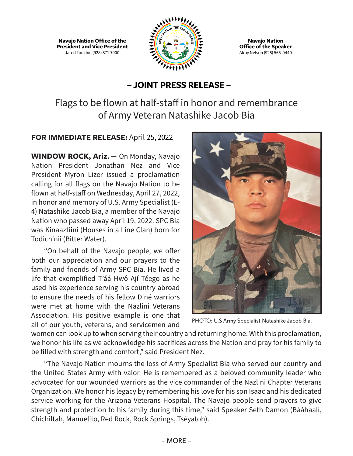**Navajo Nation Office of the President and Vice President** Jared Touchin (928) 871-7000



**Navajo Nation Office of the Speaker** Alray Nelson (928) 565-0440

## **– JOINT PRESS RELEASE –**

Flags to be flown at half-staff in honor and remembrance of Army Veteran Natashike Jacob Bia

## **FOR IMMEDIATE RELEASE:** April 25, 2022

**WINDOW ROCK, Ariz. —** On Monday, Navajo Nation President Jonathan Nez and Vice President Myron Lizer issued a proclamation calling for all flags on the Navajo Nation to be flown at half-staff on Wednesday, April 27, 2022, in honor and memory of U.S. Army Specialist (E-4) Natashike Jacob Bia, a member of the Navajo Nation who passed away April 19, 2022. SPC Bia was Kinaaztiini (Houses in a Line Clan) born for Todich'nii (Bitter Water).

"On behalf of the Navajo people, we offer both our appreciation and our prayers to the family and friends of Army SPC Bia. He lived a life that exemplified T'áá Hwó Ají Téego as he used his experience serving his country abroad to ensure the needs of his fellow Diné warriors were met at home with the Nazlini Veterans Association. His positive example is one that all of our youth, veterans, and servicemen and



PHOTO: U.S Army Specialist Natashike Jacob Bia.

women can look up to when serving their country and returning home. With this proclamation, we honor his life as we acknowledge his sacrifices across the Nation and pray for his family to be filled with strength and comfort," said President Nez.

"The Navajo Nation mourns the loss of Army Specialist Bia who served our country and the United States Army with valor. He is remembered as a beloved community leader who advocated for our wounded warriors as the vice commander of the Nazlini Chapter Veterans Organization. We honor his legacy by remembering his love for his son Isaac and his dedicated service working for the Arizona Veterans Hospital. The Navajo people send prayers to give strength and protection to his family during this time," said Speaker Seth Damon (Bááhaalí, Chichiltah, Manuelito, Red Rock, Rock Springs, Tséyatoh).